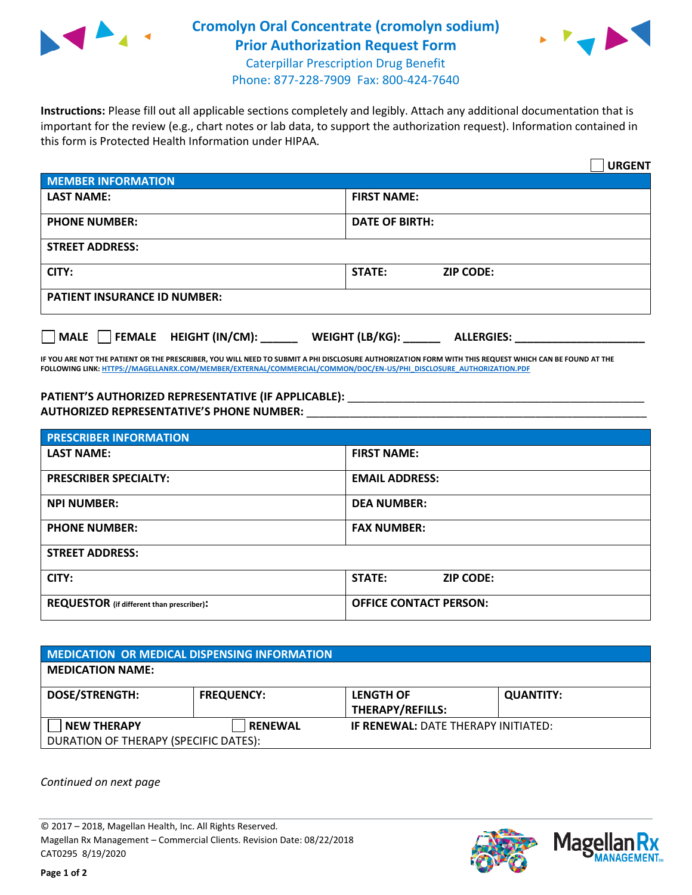

## **Cromolyn Oral Concentrate (cromolyn sodium) Prior Authorization Request Form**



Caterpillar Prescription Drug Benefit Phone: 877-228-7909 Fax: 800-424-7640

**Instructions:** Please fill out all applicable sections completely and legibly. Attach any additional documentation that is important for the review (e.g., chart notes or lab data, to support the authorization request). Information contained in this form is Protected Health Information under HIPAA.

|                                       |                                      | <b>URGENT</b> |  |  |
|---------------------------------------|--------------------------------------|---------------|--|--|
| <b>MEMBER INFORMATION</b>             |                                      |               |  |  |
| <b>LAST NAME:</b>                     | <b>FIRST NAME:</b>                   |               |  |  |
| <b>PHONE NUMBER:</b>                  | <b>DATE OF BIRTH:</b>                |               |  |  |
| <b>STREET ADDRESS:</b>                |                                      |               |  |  |
| CITY:                                 | <b>STATE:</b><br><b>ZIP CODE:</b>    |               |  |  |
| <b>PATIENT INSURANCE ID NUMBER:</b>   |                                      |               |  |  |
| $\Box$ FEMALE HEIGHT (IN/CM):<br>MALE | WEIGHT (LB/KG):<br><b>ALLERGIES:</b> |               |  |  |

**IF YOU ARE NOT THE PATIENT OR THE PRESCRIBER, YOU WILL NEED TO SUBMIT A PHI DISCLOSURE AUTHORIZATION FORM WITH THIS REQUEST WHICH CAN BE FOUND AT THE FOLLOWING LINK[: HTTPS://MAGELLANRX.COM/MEMBER/EXTERNAL/COMMERCIAL/COMMON/DOC/EN-US/PHI\\_DISCLOSURE\\_AUTHORIZATION.PDF](https://magellanrx.com/member/external/commercial/common/doc/en-us/PHI_Disclosure_Authorization.pdf)**

PATIENT'S AUTHORIZED REPRESENTATIVE (IF APPLICABLE): \_\_\_\_\_\_\_\_\_\_\_\_\_\_\_\_\_\_\_\_\_\_\_\_\_\_\_ **AUTHORIZED REPRESENTATIVE'S PHONE NUMBER:** \_\_\_\_\_\_\_\_\_\_\_\_\_\_\_\_\_\_\_\_\_\_\_\_\_\_\_\_\_\_\_\_\_\_\_\_\_\_\_\_\_\_\_\_\_\_\_\_\_\_\_\_\_\_\_

| <b>PRESCRIBER INFORMATION</b>             |                               |  |  |  |
|-------------------------------------------|-------------------------------|--|--|--|
| <b>LAST NAME:</b>                         | <b>FIRST NAME:</b>            |  |  |  |
| <b>PRESCRIBER SPECIALTY:</b>              | <b>EMAIL ADDRESS:</b>         |  |  |  |
| <b>NPI NUMBER:</b>                        | <b>DEA NUMBER:</b>            |  |  |  |
| <b>PHONE NUMBER:</b>                      | <b>FAX NUMBER:</b>            |  |  |  |
| <b>STREET ADDRESS:</b>                    |                               |  |  |  |
| CITY:                                     | STATE:<br><b>ZIP CODE:</b>    |  |  |  |
| REQUESTOR (if different than prescriber): | <b>OFFICE CONTACT PERSON:</b> |  |  |  |

| <b>MEDICATION OR MEDICAL DISPENSING INFORMATION</b> |                   |                                            |                  |  |  |
|-----------------------------------------------------|-------------------|--------------------------------------------|------------------|--|--|
| <b>MEDICATION NAME:</b>                             |                   |                                            |                  |  |  |
| <b>DOSE/STRENGTH:</b>                               | <b>FREQUENCY:</b> | <b>LENGTH OF</b>                           | <b>QUANTITY:</b> |  |  |
|                                                     |                   | <b>THERAPY/REFILLS:</b>                    |                  |  |  |
| NEW THERAPY                                         | <b>RENEWAL</b>    | <b>IF RENEWAL: DATE THERAPY INITIATED:</b> |                  |  |  |
| DURATION OF THERAPY (SPECIFIC DATES):               |                   |                                            |                  |  |  |

*Continued on next page*